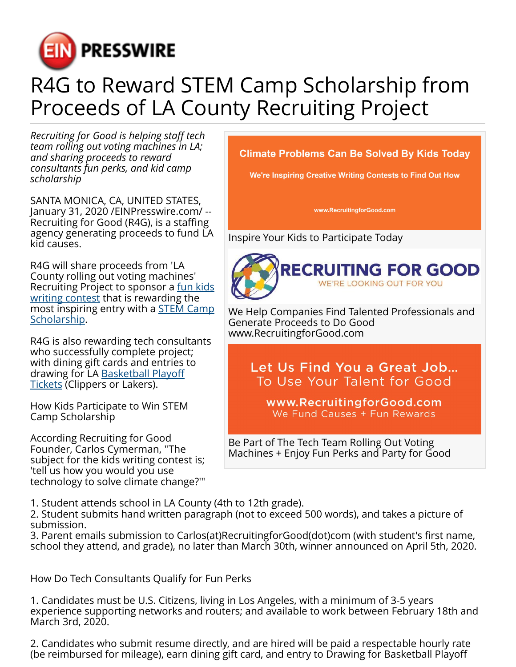

## R4G to Reward STEM Camp Scholarship from Proceeds of LA County Recruiting Project

*Recruiting for Good is helping staff tech team rolling out voting machines in LA; and sharing proceeds to reward consultants fun perks, and kid camp scholarship*

SANTA MONICA, CA, UNITED STATES, January 31, 2020 /[EINPresswire.com](http://www.einpresswire.com)/ -- Recruiting for Good (R4G), is a staffing agency generating proceeds to fund LA kid causes.

R4G will share proceeds from 'LA County rolling out voting machines' Recruiting Project to sponsor a [fun kids](https://recruitingforgood.com/win-stem-camp-scholarship/) [writing contest](https://recruitingforgood.com/win-stem-camp-scholarship/) that is rewarding the most inspiring entry with a **STEM Camp** [Scholarship.](https://recruitingforgood.com/win-stem-camp-scholarship/)

R4G is also rewarding tech consultants who successfully complete project; with dining gift cards and entries to drawing for LA [Basketball Playoff](https://recruitingforgood.com/rewarding-rockstars/) [Tickets](https://recruitingforgood.com/rewarding-rockstars/) (Clippers or Lakers).

How Kids Participate to Win STEM Camp Scholarship

According Recruiting for Good Founder, Carlos Cymerman, "The subject for the kids writing contest is; 'tell us how you would you use technology to solve climate change?'" **Climate Problems Can Be Solved By Kids Today** 

We're Inspiring Creative Writing Contests to Find Out How

www.RecruitingforGood.com

Inspire Your Kids to Participate Today



We Help Companies Find Talented Professionals and Generate Proceeds to Do Good www.RecruitingforGood.com

Let Us Find You a Great Job... To Use Your Talent for Good

www.RecruitingforGood.com We Fund Causes + Fun Rewards

Be Part of The Tech Team Rolling Out Voting Machines + Enjoy Fun Perks and Party for Good

1. Student attends school in LA County (4th to 12th grade).

2. Student submits hand written paragraph (not to exceed 500 words), and takes a picture of submission.

3. Parent emails submission to Carlos(at)RecruitingforGood(dot)com (with student's first name, school they attend, and grade), no later than March 30th, winner announced on April 5th, 2020.

How Do Tech Consultants Qualify for Fun Perks

1. Candidates must be U.S. Citizens, living in Los Angeles, with a minimum of 3-5 years experience supporting networks and routers; and available to work between February 18th and March 3rd, 2020.

2. Candidates who submit resume directly, and are hired will be paid a respectable hourly rate (be reimbursed for mileage), earn dining gift card, and entry to Drawing for Basketball Playoff